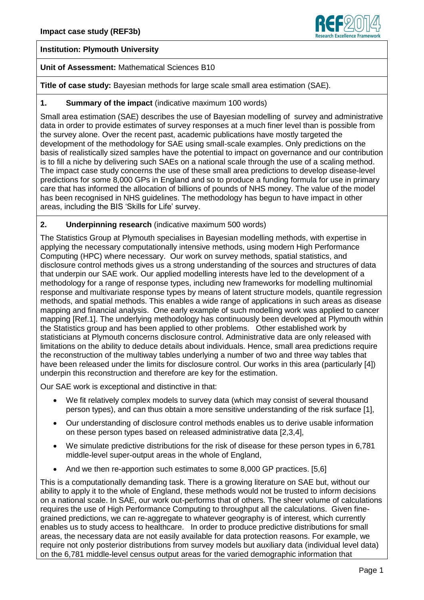

# **Institution: Plymouth University**

### **Unit of Assessment:** Mathematical Sciences B10

**Title of case study:** Bayesian methods for large scale small area estimation (SAE).

### **1. Summary of the impact** (indicative maximum 100 words)

Small area estimation (SAE) describes the use of Bayesian modelling of survey and administrative data in order to provide estimates of survey responses at a much finer level than is possible from the survey alone. Over the recent past, academic publications have mostly targeted the development of the methodology for SAE using small-scale examples. Only predictions on the basis of realistically sized samples have the potential to impact on governance and our contribution is to fill a niche by delivering such SAEs on a national scale through the use of a scaling method. The impact case study concerns the use of these small area predictions to develop disease-level predictions for some 8,000 GPs in England and so to produce a funding formula for use in primary care that has informed the allocation of billions of pounds of NHS money. The value of the model has been recognised in NHS guidelines. The methodology has begun to have impact in other areas, including the BIS 'Skills for Life' survey.

### **2. Underpinning research** (indicative maximum 500 words)

The Statistics Group at Plymouth specialises in Bayesian modelling methods, with expertise in applying the necessary computationally intensive methods, using modern High Performance Computing (HPC) where necessary. Our work on survey methods, spatial statistics, and disclosure control methods gives us a strong understanding of the sources and structures of data that underpin our SAE work. Our applied modelling interests have led to the development of a methodology for a range of response types, including new frameworks for modelling multinomial response and multivariate response types by means of latent structure models, quantile regression methods, and spatial methods. This enables a wide range of applications in such areas as disease mapping and financial analysis. One early example of such modelling work was applied to cancer mapping [Ref.1]. The underlying methodology has continuously been developed at Plymouth within the Statistics group and has been applied to other problems. Other established work by statisticians at Plymouth concerns disclosure control. Administrative data are only released with limitations on the ability to deduce details about individuals. Hence, small area predictions require the reconstruction of the multiway tables underlying a number of two and three way tables that have been released under the limits for disclosure control. Our works in this area (particularly [4]) underpin this reconstruction and therefore are key for the estimation.

Our SAE work is exceptional and distinctive in that:

- We fit relatively complex models to survey data (which may consist of several thousand person types), and can thus obtain a more sensitive understanding of the risk surface [1],
- Our understanding of disclosure control methods enables us to derive usable information on these person types based on released administrative data [2,3,4],
- We simulate predictive distributions for the risk of disease for these person types in 6,781 middle-level super-output areas in the whole of England,
- And we then re-apportion such estimates to some 8,000 GP practices. [5,6]

This is a computationally demanding task. There is a growing literature on SAE but, without our ability to apply it to the whole of England, these methods would not be trusted to inform decisions on a national scale. In SAE, our work out-performs that of others. The sheer volume of calculations requires the use of High Performance Computing to throughput all the calculations. Given finegrained predictions, we can re-aggregate to whatever geography is of interest, which currently enables us to study access to healthcare. In order to produce predictive distributions for small areas, the necessary data are not easily available for data protection reasons. For example, we require not only posterior distributions from survey models but auxiliary data (individual level data) on the 6,781 middle-level census output areas for the varied demographic information that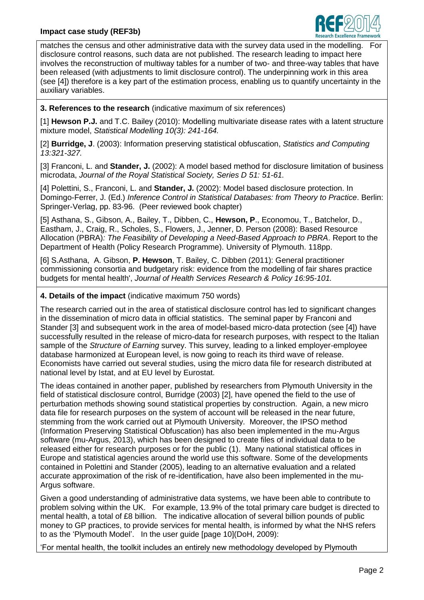# **Impact case study (REF3b)**



matches the census and other administrative data with the survey data used in the modelling. For disclosure control reasons, such data are not published. The research leading to impact here involves the reconstruction of multiway tables for a number of two- and three-way tables that have been released (with adjustments to limit disclosure control). The underpinning work in this area (see [4]) therefore is a key part of the estimation process, enabling us to quantify uncertainty in the auxiliary variables.

**3. References to the research** (indicative maximum of six references)

[1] **Hewson P.J.** and T.C. Bailey (2010): Modelling multivariate disease rates with a latent structure mixture model, *Statistical Modelling 10(3): 241-164.* 

[2] **Burridge, J**. (2003): Information preserving statistical obfuscation, *Statistics and Computing 13:321-327.*

[3] Franconi, L. and **Stander, J.** (2002): A model based method for disclosure limitation of business microdata, *Journal of the Royal Statistical Society, Series D 51: 51-61.*

[4] Polettini, S., Franconi, L. and Stander, J. (2002): Model based disclosure protection. In Domingo-Ferrer, J. (Ed.) *Inference Control in Statistical Databases: from Theory to Practice*. Berlin: Springer-Verlag, pp. 83-96. (Peer reviewed book chapter)

[5] Asthana, S., Gibson, A., Bailey, T., Dibben, C., **Hewson, P**., Economou, T., Batchelor, D., Eastham, J., Craig, R., Scholes, S., Flowers, J., Jenner, D. Person (2008): Based Resource Allocation (PBRA)*: The Feasibility of Developing a Need-Based Approach to PBRA*. Report to the Department of Health (Policy Research Programme). University of Plymouth. 118pp.

[6] S.Asthana, A. Gibson, **P. Hewson**, T. Bailey, C. Dibben (2011): General practitioner commissioning consortia and budgetary risk: evidence from the modelling of fair shares practice budgets for mental health', *Journal of Health Services Research & Policy 16:95-101.*

# **4. Details of the impact** (indicative maximum 750 words)

The research carried out in the area of statistical disclosure control has led to significant changes in the dissemination of micro data in official statistics. The seminal paper by Franconi and Stander [3] and subsequent work in the area of model-based micro-data protection (see [4]) have successfully resulted in the release of micro-data for research purposes, with respect to the Italian sample of the *Structure of Earning* survey. This survey, leading to a linked employer-employee database harmonized at European level, is now going to reach its third wave of release. Economists have carried out several studies, using the micro data file for research distributed at national level by Istat, and at EU level by Eurostat.

The ideas contained in another paper, published by researchers from Plymouth University in the field of statistical disclosure control, Burridge (2003) [2], have opened the field to the use of perturbation methods showing sound statistical properties by construction. Again, a new micro data file for research purposes on the system of account will be released in the near future, stemming from the work carried out at Plymouth University. Moreover, the IPSO method (Information Preserving Statistical Obfuscation) has also been implemented in the mu-Argus software (mu-Argus, 2013), which has been designed to create files of individual data to be released either for research purposes or for the public (1). Many national statistical offices in Europe and statistical agencies around the world use this software. Some of the developments contained in Polettini and Stander (2005), leading to an alternative evaluation and a related accurate approximation of the risk of re-identification, have also been implemented in the mu-Argus software.

Given a good understanding of administrative data systems, we have been able to contribute to problem solving within the UK. For example, 13.9% of the total primary care budget is directed to mental health, a total of £8 billion. The indicative allocation of several billion pounds of public money to GP practices, to provide services for mental health, is informed by what the NHS refers to as the 'Plymouth Model'. In the user guide [page 10](DoH, 2009):

'For mental health, the toolkit includes an entirely new methodology developed by Plymouth